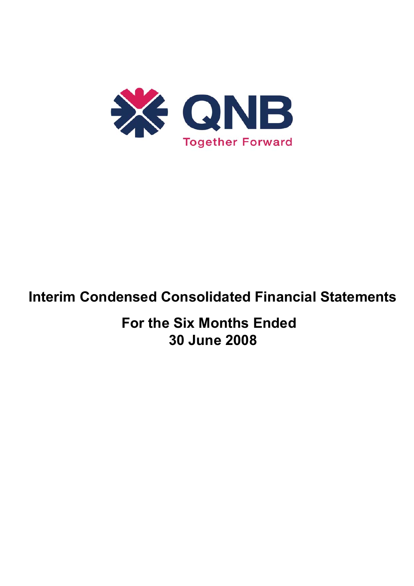

# **Interim Condensed Consolidated Financial Statements**

**For the Six Months Ended 30 June 2008**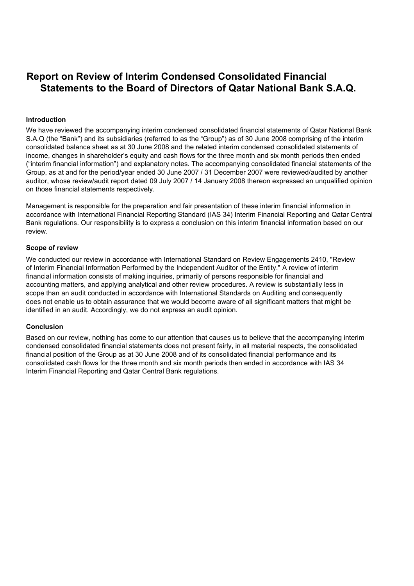# **Report on Review of Interim Condensed Consolidated Financial Statements to the Board of Directors of Qatar National Bank S.A.Q.**

#### **Introduction**

We have reviewed the accompanying interim condensed consolidated financial statements of Qatar National Bank S.A.Q (the "Bank") and its subsidiaries (referred to as the "Group") as of 30 June 2008 comprising of the interim consolidated balance sheet as at 30 June 2008 and the related interim condensed consolidated statements of income, changes in shareholder's equity and cash flows for the three month and six month periods then ended ("interim financial information") and explanatory notes. The accompanying consolidated financial statements of the Group, as at and for the period/year ended 30 June 2007 / 31 December 2007 were reviewed/audited by another auditor, whose review/audit report dated 09 July 2007 / 14 January 2008 thereon expressed an unqualified opinion on those financial statements respectively.

Management is responsible for the preparation and fair presentation of these interim financial information in accordance with International Financial Reporting Standard (IAS 34) Interim Financial Reporting and Qatar Central Bank regulations. Our responsibility is to express a conclusion on this interim financial information based on our review.

#### **Scope of review**

We conducted our review in accordance with International Standard on Review Engagements 2410, "Review of Interim Financial Information Performed by the Independent Auditor of the Entity." A review of interim financial information consists of making inquiries, primarily of persons responsible for financial and accounting matters, and applying analytical and other review procedures. A review is substantially less in scope than an audit conducted in accordance with International Standards on Auditing and consequently does not enable us to obtain assurance that we would become aware of all significant matters that might be identified in an audit. Accordingly, we do not express an audit opinion.

#### **Conclusion**

Based on our review, nothing has come to our attention that causes us to believe that the accompanying interim condensed consolidated financial statements does not present fairly, in all material respects, the consolidated financial position of the Group as at 30 June 2008 and of its consolidated financial performance and its consolidated cash flows for the three month and six month periods then ended in accordance with IAS 34 Interim Financial Reporting and Qatar Central Bank regulations.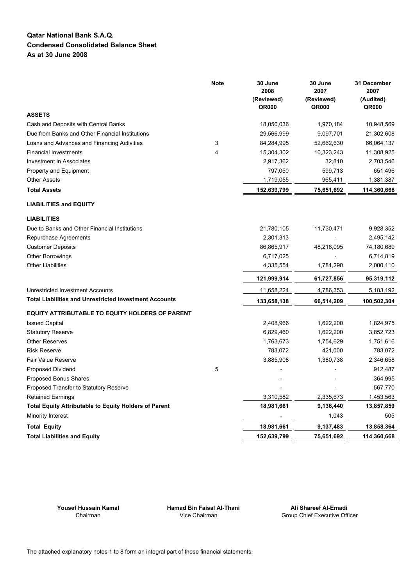#### **Qatar National Bank S.A.Q. Condensed Consolidated Balance Sheet As at 30 June 2008**

|                                                               | <b>Note</b> | 30 June<br>2008<br>(Reviewed)<br>QR000 | 30 June<br>2007<br>(Reviewed)<br>QR000 | 31 December<br>2007<br>(Audited)<br>QR000 |
|---------------------------------------------------------------|-------------|----------------------------------------|----------------------------------------|-------------------------------------------|
| <b>ASSETS</b>                                                 |             |                                        |                                        |                                           |
| Cash and Deposits with Central Banks                          |             | 18,050,036                             | 1,970,184                              | 10,948,569                                |
| Due from Banks and Other Financial Institutions               |             | 29,566,999                             | 9,097,701                              | 21,302,608                                |
| Loans and Advances and Financing Activities                   | 3           | 84,284,995                             | 52,662,630                             | 66,064,137                                |
| <b>Financial Investments</b>                                  | 4           | 15,304,302                             | 10,323,243                             | 11,308,925                                |
| Investment in Associates                                      |             | 2,917,362                              | 32,810                                 | 2,703,546                                 |
| Property and Equipment                                        |             | 797,050                                | 599,713                                | 651,496                                   |
| <b>Other Assets</b>                                           |             | 1,719,055                              | 965,411                                | 1,381,387                                 |
| <b>Total Assets</b>                                           |             | 152,639,799                            | 75,651,692                             | 114,360,668                               |
| <b>LIABILITIES and EQUITY</b>                                 |             |                                        |                                        |                                           |
| <b>LIABILITIES</b>                                            |             |                                        |                                        |                                           |
| Due to Banks and Other Financial Institutions                 |             | 21,780,105                             | 11,730,471                             | 9,928,352                                 |
| Repurchase Agreements                                         |             | 2,301,313                              |                                        | 2,495,142                                 |
| <b>Customer Deposits</b>                                      |             | 86,865,917                             | 48,216,095                             | 74,180,689                                |
| <b>Other Borrowings</b>                                       |             | 6,717,025                              |                                        | 6,714,819                                 |
| <b>Other Liabilities</b>                                      |             | 4,335,554                              | 1,781,290                              | 2,000,110                                 |
|                                                               |             | 121,999,914                            | 61,727,856                             | 95,319,112                                |
| <b>Unrestricted Investment Accounts</b>                       |             | 11,658,224                             | 4,786,353                              | 5,183,192                                 |
| <b>Total Liabilities and Unrestricted Investment Accounts</b> |             | 133,658,138                            | 66,514,209                             | 100,502,304                               |
| <b>EQUITY ATTRIBUTABLE TO EQUITY HOLDERS OF PARENT</b>        |             |                                        |                                        |                                           |
| <b>Issued Capital</b>                                         |             | 2,408,966                              | 1,622,200                              | 1,824,975                                 |
| <b>Statutory Reserve</b>                                      |             | 6,829,460                              | 1,622,200                              | 3,852,723                                 |
| <b>Other Reserves</b>                                         |             | 1,763,673                              | 1,754,629                              | 1,751,616                                 |
| <b>Risk Reserve</b>                                           |             | 783,072                                | 421,000                                | 783,072                                   |
| <b>Fair Value Reserve</b>                                     |             | 3,885,908                              | 1,380,738                              | 2,346,658                                 |
| Proposed Dividend                                             | 5           |                                        |                                        | 912,487                                   |
| Proposed Bonus Shares                                         |             |                                        |                                        | 364,995                                   |
| Proposed Transfer to Statutory Reserve                        |             |                                        |                                        | 567,770                                   |
| <b>Retained Earnings</b>                                      |             | 3,310,582                              | 2,335,673                              | 1,453,563                                 |
| <b>Total Equity Attributable to Equity Holders of Parent</b>  |             | 18,981,661                             | 9,136,440                              | 13,857,859                                |
| Minority Interest                                             |             |                                        | 1,043                                  | 505                                       |
| <b>Total Equity</b>                                           |             | 18,981,661                             | 9,137,483                              | 13,858,364                                |
| <b>Total Liabilities and Equity</b>                           |             | 152,639,799                            | 75,651,692                             | 114,360,668                               |

**Yousef Hussain Kamal Hamad Bin Faisal Al-Thani Ali Shareef Al-Emadi**

Chairman Vice Chairman Group Chief Executive Officer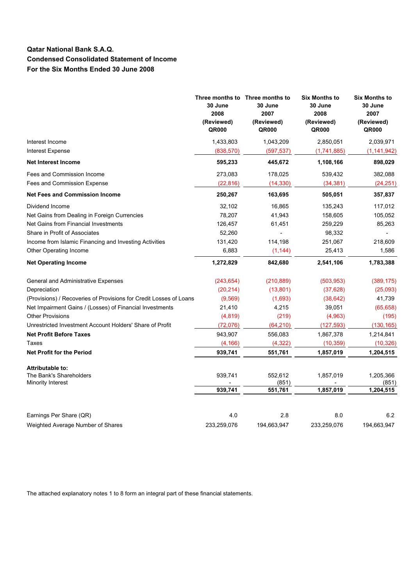## **Qatar National Bank S.A.Q. Condensed Consolidated Statement of Income For the Six Months Ended 30 June 2008**

|                                                                    | 30 June<br>2008<br>(Reviewed)<br>QR000 | Three months to Three months to<br>30 June<br>2007<br>(Reviewed)<br>QR000 | <b>Six Months to</b><br>30 June<br>2008<br>(Reviewed)<br>QR000 | <b>Six Months to</b><br>30 June<br>2007<br>(Reviewed)<br>QR000 |
|--------------------------------------------------------------------|----------------------------------------|---------------------------------------------------------------------------|----------------------------------------------------------------|----------------------------------------------------------------|
| Interest Income                                                    | 1,433,803                              | 1,043,209                                                                 | 2,850,051                                                      | 2,039,971                                                      |
| <b>Interest Expense</b>                                            | (838, 570)                             | (597, 537)                                                                | (1,741,885)                                                    | (1, 141, 942)                                                  |
| <b>Net Interest Income</b>                                         | 595,233                                | 445,672                                                                   | 1,108,166                                                      | 898,029                                                        |
| Fees and Commission Income                                         | 273,083                                | 178,025                                                                   | 539,432                                                        | 382,088                                                        |
| Fees and Commission Expense                                        | (22, 816)                              | (14, 330)                                                                 | (34, 381)                                                      | (24, 251)                                                      |
| <b>Net Fees and Commission Income</b>                              | 250,267                                | 163,695                                                                   | 505,051                                                        | 357,837                                                        |
| Dividend Income                                                    | 32,102                                 | 16,865                                                                    | 135,243                                                        | 117,012                                                        |
| Net Gains from Dealing in Foreign Currencies                       | 78,207                                 | 41,943                                                                    | 158,605                                                        | 105,052                                                        |
| Net Gains from Financial Investments                               | 126,457                                | 61,451                                                                    | 259,229                                                        | 85,263                                                         |
| Share in Profit of Associates                                      | 52,260                                 |                                                                           | 98,332                                                         |                                                                |
| Income from Islamic Financing and Investing Activities             | 131,420                                | 114,198                                                                   | 251,067                                                        | 218,609                                                        |
| Other Operating Income                                             | 6,883                                  | (1, 144)                                                                  | 25,413                                                         | 1,586                                                          |
| <b>Net Operating Income</b>                                        | 1,272,829                              | 842,680                                                                   | 2,541,106                                                      | 1,783,388                                                      |
| General and Administrative Expenses                                | (243, 654)                             | (210, 889)                                                                | (503, 953)                                                     | (389, 175)                                                     |
| Depreciation                                                       | (20, 214)                              | (13, 801)                                                                 | (37, 628)                                                      | (25,093)                                                       |
| (Provisions) / Recoveries of Provisions for Credit Losses of Loans | (9,569)                                | (1,693)                                                                   | (38, 642)                                                      | 41,739                                                         |
| Net Impairment Gains / (Losses) of Financial Investments           | 21,410                                 | 4,215                                                                     | 39,051                                                         | (65, 658)                                                      |
| <b>Other Provisions</b>                                            | (4,819)                                | (219)                                                                     | (4,963)                                                        | (195)                                                          |
| Unrestricted Investment Account Holders' Share of Profit           | (72,076)                               | (64, 210)                                                                 | (127, 593)                                                     | (130, 165)                                                     |
| <b>Net Profit Before Taxes</b>                                     | 943,907                                | 556,083                                                                   | 1,867,378                                                      | 1,214,841                                                      |
| Taxes                                                              | (4, 166)                               | (4, 322)                                                                  | (10, 359)                                                      | (10, 326)                                                      |
| <b>Net Profit for the Period</b>                                   | 939,741                                | 551,761                                                                   | 1,857,019                                                      | 1,204,515                                                      |
| <b>Attributable to:</b>                                            |                                        |                                                                           |                                                                |                                                                |
| The Bank's Shareholders<br>Minority Interest                       | 939,741                                | 552,612<br>(851)                                                          | 1,857,019                                                      | 1,205,366<br>(851)                                             |
|                                                                    | 939,741                                | 551,761                                                                   | 1,857,019                                                      | 1,204,515                                                      |
| Earnings Per Share (QR)                                            | 4.0                                    | 2.8                                                                       | 8.0                                                            | 6.2                                                            |
| Weighted Average Number of Shares                                  | 233,259,076                            | 194,663,947                                                               | 233,259,076                                                    | 194,663,947                                                    |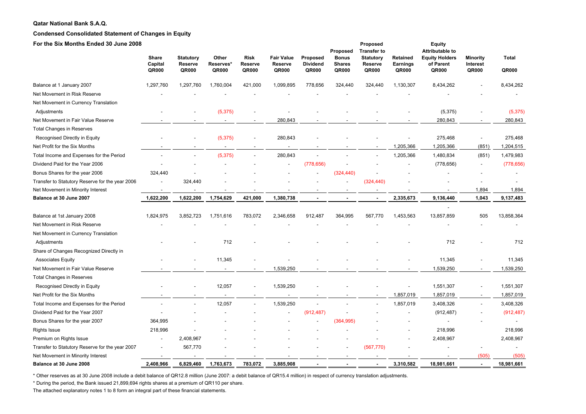#### **Qatar National Bank S.A.Q.**

#### **Condensed Consolidated Statement of Changes in Equity**

| For the Six Months Ended 30 June 2008           | Share            |                                      | Other              | <b>Risk</b>      | <b>Fair Value</b>       | Proposed                 | Proposed<br><b>Bonus</b> | Proposed<br><b>Transfer to</b><br><b>Statutory</b> |                               | <b>Equity</b><br><b>Attributable to</b><br><b>Equity Holders</b> |                                      | <b>Total</b> |
|-------------------------------------------------|------------------|--------------------------------------|--------------------|------------------|-------------------------|--------------------------|--------------------------|----------------------------------------------------|-------------------------------|------------------------------------------------------------------|--------------------------------------|--------------|
|                                                 | Capital<br>QR000 | <b>Statutory</b><br>Reserve<br>QR000 | Reserves*<br>QR000 | Reserve<br>QR000 | <b>Reserve</b><br>QR000 | <b>Dividend</b><br>QR000 | <b>Shares</b><br>QR000   | Reserve<br>QR000                                   | Retained<br>Earnings<br>QR000 | of Parent<br>QR000                                               | <b>Minority</b><br>Interest<br>QR000 | QR000        |
| Balance at 1 January 2007                       | 1,297,760        | 1,297,760                            | 1,760,004          | 421,000          | 1,099,895               | 778,656                  | 324,440                  | 324,440                                            | 1,130,307                     | 8,434,262                                                        |                                      | 8,434,262    |
| Net Movement in Risk Reserve                    |                  |                                      |                    |                  |                         |                          |                          |                                                    |                               |                                                                  |                                      |              |
| Net Movement in Currency Translation            |                  |                                      |                    |                  |                         |                          |                          |                                                    |                               |                                                                  |                                      |              |
| Adjustments                                     |                  |                                      | (5, 375)           |                  |                         |                          |                          |                                                    |                               | (5,375)                                                          |                                      | (5,375)      |
| Net Movement in Fair Value Reserve              |                  |                                      |                    |                  | 280,843                 |                          |                          |                                                    |                               | 280,843                                                          |                                      | 280,843      |
| <b>Total Changes in Reserves</b>                |                  |                                      |                    |                  |                         |                          |                          |                                                    |                               |                                                                  |                                      |              |
| Recognised Directly in Equity                   |                  |                                      | (5, 375)           |                  | 280,843                 |                          |                          |                                                    |                               | 275,468                                                          | $\overline{\phantom{a}}$             | 275,468      |
| Net Profit for the Six Months                   |                  |                                      |                    |                  |                         |                          |                          |                                                    | 1,205,366                     | 1,205,366                                                        | (851)                                | 1,204,515    |
| Total Income and Expenses for the Period        |                  |                                      | (5, 375)           |                  | 280,843                 |                          |                          |                                                    | 1,205,366                     | 1,480,834                                                        | (851)                                | 1,479,983    |
| Dividend Paid for the Year 2006                 |                  |                                      |                    |                  | ÷,                      | (778, 656)               |                          |                                                    |                               | (778, 656)                                                       | $\sim$                               | (778, 656)   |
| Bonus Shares for the year 2006                  | 324,440          |                                      |                    |                  |                         |                          | (324, 440)               |                                                    |                               |                                                                  |                                      |              |
| Transfer to Statutory Reserve for the year 2006 |                  | 324,440                              |                    |                  |                         |                          |                          | (324, 440)                                         |                               |                                                                  |                                      |              |
| Net Movement in Minority Interest               |                  |                                      |                    |                  |                         |                          |                          |                                                    |                               |                                                                  | 1,894                                | 1,894        |
| Balance at 30 June 2007                         | 1,622,200        | 1,622,200                            | 1,754,629          | 421,000          | 1,380,738               |                          |                          |                                                    | 2,335,673                     | 9,136,440                                                        | 1,043                                | 9,137,483    |
| Balance at 1st January 2008                     | 1,824,975        | 3,852,723                            | 1,751,616          | 783,072          | 2,346,658               | 912,487                  | 364,995                  | 567,770                                            | 1,453,563                     | 13,857,859                                                       | 505                                  | 13,858,364   |
| Net Movement in Risk Reserve                    |                  |                                      |                    |                  |                         |                          |                          |                                                    |                               |                                                                  |                                      |              |
| Net Movement in Currency Translation            |                  |                                      |                    |                  |                         |                          |                          |                                                    |                               |                                                                  |                                      |              |
| Adjustments                                     |                  |                                      | 712                |                  |                         |                          |                          |                                                    |                               | 712                                                              |                                      | 712          |
| Share of Changes Recognized Directly in         |                  |                                      |                    |                  |                         |                          |                          |                                                    |                               |                                                                  |                                      |              |
| <b>Associates Equity</b>                        |                  |                                      | 11,345             |                  |                         |                          |                          |                                                    |                               | 11,345                                                           |                                      | 11,345       |
| Net Movement in Fair Value Reserve              |                  |                                      |                    |                  | 1,539,250               |                          |                          |                                                    |                               | 1,539,250                                                        |                                      | 1,539,250    |
| <b>Total Changes in Reserves</b>                |                  |                                      |                    |                  |                         |                          |                          |                                                    |                               |                                                                  |                                      |              |
| Recognised Directly in Equity                   |                  |                                      | 12,057             |                  | 1,539,250               |                          |                          |                                                    |                               | 1,551,307                                                        | $\overline{\phantom{a}}$             | 1,551,307    |
| Net Profit for the Six Months                   |                  |                                      |                    |                  |                         |                          |                          |                                                    | 1,857,019                     | 1,857,019                                                        | $\sim$                               | 1,857,019    |
| Total Income and Expenses for the Period        |                  |                                      | 12,057             |                  | 1,539,250               |                          |                          |                                                    | 1,857,019                     | 3,408,326                                                        |                                      | 3,408,326    |
| Dividend Paid for the Year 2007                 |                  |                                      |                    |                  | $\blacksquare$          | (912, 487)               |                          |                                                    |                               | (912, 487)                                                       |                                      | (912, 487)   |
| Bonus Shares for the year 2007                  | 364,995          |                                      |                    |                  |                         |                          | (364, 995)               |                                                    |                               |                                                                  |                                      |              |
| Rights Issue                                    | 218,996          |                                      |                    |                  |                         |                          |                          |                                                    |                               | 218,996                                                          |                                      | 218,996      |
| Premium on Rights Issue                         |                  | 2,408,967                            |                    |                  |                         |                          |                          |                                                    |                               | 2,408,967                                                        |                                      | 2,408,967    |
| Transfer to Statutory Reserve for the year 2007 |                  | 567,770                              |                    |                  |                         |                          |                          | (567, 770)                                         |                               |                                                                  |                                      |              |
| Net Movement in Minority Interest               |                  |                                      |                    |                  |                         |                          |                          |                                                    |                               |                                                                  | (505)                                | (505)        |
| Balance at 30 June 2008                         | 2.408.966        | 6.829.460                            | 1,763,673          | 783.072          | 3.885.908               |                          |                          |                                                    | 3,310,582                     | 18,981,661                                                       |                                      | 18,981,661   |

\* Other reserves as at 30 June 2008 include a debit balance of QR12.8 million (June 2007: a debit balance of QR15.4 million) in respect of currency translation adjustments.

\* During the period, the Bank issued 21,899,694 rights shares at a premium of QR110 per share.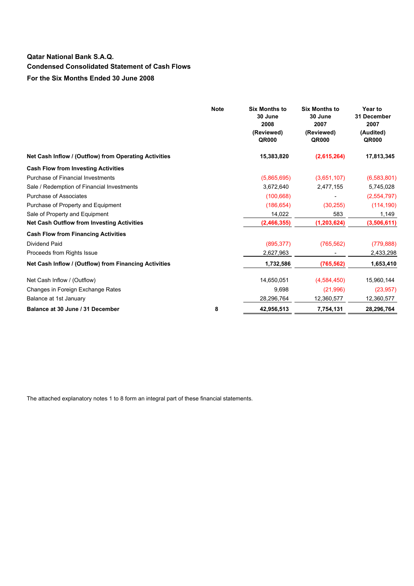# **Qatar National Bank S.A.Q. Condensed Consolidated Statement of Cash Flows For the Six Months Ended 30 June 2008**

|                                                       | <b>Note</b> | <b>Six Months to</b><br>30 June<br>2008<br>(Reviewed)<br>QR000 | <b>Six Months to</b><br>30 June<br>2007<br>(Reviewed)<br>QR000 | <b>Year to</b><br>31 December<br>2007<br>(Audited)<br><b>QR000</b> |
|-------------------------------------------------------|-------------|----------------------------------------------------------------|----------------------------------------------------------------|--------------------------------------------------------------------|
| Net Cash Inflow / (Outflow) from Operating Activities |             | 15,383,820                                                     | (2,615,264)                                                    | 17,813,345                                                         |
| <b>Cash Flow from Investing Activities</b>            |             |                                                                |                                                                |                                                                    |
| Purchase of Financial Investments                     |             | (5,865,695)                                                    | (3,651,107)                                                    | (6,583,801)                                                        |
| Sale / Redemption of Financial Investments            |             | 3,672,640                                                      | 2,477,155                                                      | 5,745,028                                                          |
| <b>Purchase of Associates</b>                         |             | (100, 668)                                                     |                                                                | (2,554,797)                                                        |
| Purchase of Property and Equipment                    |             | (186, 654)                                                     | (30, 255)                                                      | (114, 190)                                                         |
| Sale of Property and Equipment                        |             | 14,022                                                         | 583                                                            | 1,149                                                              |
| <b>Net Cash Outflow from Investing Activities</b>     |             | (2,466,355)                                                    | (1, 203, 624)                                                  | (3,506,611)                                                        |
| <b>Cash Flow from Financing Activities</b>            |             |                                                                |                                                                |                                                                    |
| <b>Dividend Paid</b>                                  |             | (895, 377)                                                     | (765, 562)                                                     | (779, 888)                                                         |
| Proceeds from Rights Issue                            |             | 2,627,963                                                      |                                                                | 2,433,298                                                          |
| Net Cash Inflow / (Outflow) from Financing Activities |             | 1,732,586                                                      | (765, 562)                                                     | 1,653,410                                                          |
| Net Cash Inflow / (Outflow)                           |             | 14,650,051                                                     | (4,584,450)                                                    | 15,960,144                                                         |
| Changes in Foreign Exchange Rates                     |             | 9,698                                                          | (21,996)                                                       | (23, 957)                                                          |
| Balance at 1st January                                |             | 28,296,764                                                     | 12,360,577                                                     | 12,360,577                                                         |
| Balance at 30 June / 31 December                      | 8           | 42,956,513                                                     | 7,754,131                                                      | 28,296,764                                                         |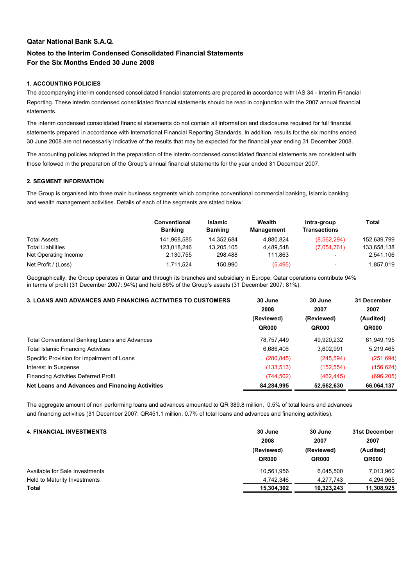#### **Qatar National Bank S.A.Q.**

### **Notes to the Interim Condensed Consolidated Financial Statements For the Six Months Ended 30 June 2008**

#### **1. ACCOUNTING POLICIES**

The accompanying interim condensed consolidated financial statements are prepared in accordance with IAS 34 - Interim Financial Reporting. These interim condensed consolidated financial statements should be read in conjunction with the 2007 annual financial statements.

The interim condensed consolidated financial statements do not contain all information and disclosures required for full financial statements prepared in accordance with International Financial Reporting Standards. In addition, results for the six months ended 30 June 2008 are not necessarily indicative of the results that may be expected for the financial year ending 31 December 2008.

The accounting policies adopted in the preparation of the interim condensed consolidated financial statements are consistent with those followed in the preparation of the Group's annual financial statements for the year ended 31 December 2007.

#### **2. SEGMENT INFORMATION**

The Group is organised into three main business segments which comprise conventional commercial banking, Islamic banking and wealth management activities. Details of each of the segments are stated below:

|                          | <b>Conventional</b><br><b>Banking</b> | <b>Islamic</b><br><b>Banking</b> | Wealth<br>Management | Intra-group<br>Transactions | Total       |
|--------------------------|---------------------------------------|----------------------------------|----------------------|-----------------------------|-------------|
| <b>Total Assets</b>      | 141,968,585                           | 14.352.684                       | 4.880.824            | (8,562,294)                 | 152,639,799 |
| <b>Total Liabilities</b> | 123,018,246                           | 13,205,105                       | 4.489.548            | (7.054, 761)                | 133,658,138 |
| Net Operating Income     | 2,130,755                             | 298.488                          | 111.863              | $\overline{\phantom{a}}$    | 2,541,106   |
| Net Profit / (Loss)      | 1.711.524                             | 150.990                          | (5, 495)             | $\overline{\phantom{a}}$    | 1,857,019   |

Geographically, the Group operates in Qatar and through its branches and subsidiary in Europe. Qatar operations contribute 94% in terms of profit (31 December 2007: 94%) and hold 86% of the Group's assets (31 December 2007: 81%).

| <b>3. LOANS AND ADVANCES AND FINANCING ACTIVITIES TO CUSTOMERS</b> | 30 June    | 30 June    | 31 December<br>2007<br>(Audited) |  |
|--------------------------------------------------------------------|------------|------------|----------------------------------|--|
|                                                                    | 2008       | 2007       |                                  |  |
|                                                                    | (Reviewed) | (Reviewed) |                                  |  |
|                                                                    | QR000      | QR000      | QR000                            |  |
| <b>Total Conventional Banking Loans and Advances</b>               | 78,757,449 | 49,920,232 | 61,949,195                       |  |
| <b>Total Islamic Financing Activities</b>                          | 6,686,406  | 3,602,991  | 5,219,465                        |  |
| Specific Provision for Impairment of Loans                         | (280, 845) | (245, 594) | (251, 694)                       |  |
| Interest in Suspense                                               | (133, 513) | (152, 554) | (156,624)                        |  |
| <b>Financing Activities Deferred Profit</b>                        | (744,502)  | (462, 445) | (696, 205)                       |  |
| Net Loans and Advances and Financing Activities                    | 84,284,995 | 52,662,630 | 66,064,137                       |  |

The aggregate amount of non performing loans and advances amounted to QR 389.8 million, 0.5% of total loans and advances and financing activities (31 December 2007: QR451.1 million, 0.7% of total loans and advances and financing activities).

| 2007       |
|------------|
| (Audited)  |
| QR000      |
| 7,013,960  |
| 4,294,965  |
| 11.308.925 |
|            |